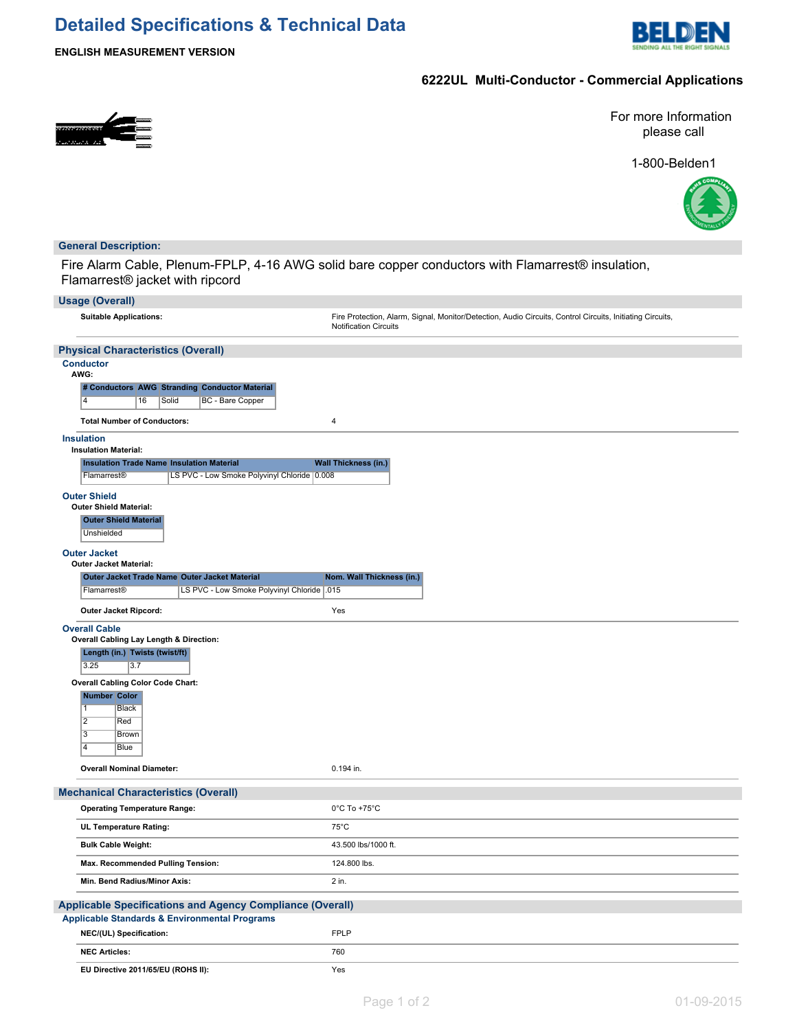# **Detailed Specifications & Technical Data**



**ENGLISH MEASUREMENT VERSION**

## **6222UL Multi-Conductor - Commercial Applications**



For more Information please call

1-800-Belden1



### **General Description:**

Fire Alarm Cable, Plenum-FPLP, 4-16 AWG solid bare copper conductors with Flamarrest® insulation, Flamarrest® jacket with ripcord

| <b>Usage (Overall)</b>                                                                                                                                                                                                                                                                 |                                                                                                                                           |
|----------------------------------------------------------------------------------------------------------------------------------------------------------------------------------------------------------------------------------------------------------------------------------------|-------------------------------------------------------------------------------------------------------------------------------------------|
| <b>Suitable Applications:</b>                                                                                                                                                                                                                                                          | Fire Protection, Alarm, Signal, Monitor/Detection, Audio Circuits, Control Circuits, Initiating Circuits,<br><b>Notification Circuits</b> |
| <b>Physical Characteristics (Overall)</b>                                                                                                                                                                                                                                              |                                                                                                                                           |
| <b>Conductor</b><br>AWG:                                                                                                                                                                                                                                                               |                                                                                                                                           |
| # Conductors AWG Stranding Conductor Material<br>BC - Bare Copper<br>14<br>16<br>Solid                                                                                                                                                                                                 |                                                                                                                                           |
| <b>Total Number of Conductors:</b>                                                                                                                                                                                                                                                     | $\overline{4}$                                                                                                                            |
| <b>Insulation</b><br><b>Insulation Material:</b>                                                                                                                                                                                                                                       |                                                                                                                                           |
| <b>Insulation Trade Name Insulation Material</b>                                                                                                                                                                                                                                       | <b>Wall Thickness (in.)</b>                                                                                                               |
| LS PVC - Low Smoke Polyvinyl Chloride 0.008<br>Flamarrest®                                                                                                                                                                                                                             |                                                                                                                                           |
| <b>Outer Shield</b><br><b>Outer Shield Material:</b><br><b>Outer Shield Material</b><br>Unshielded                                                                                                                                                                                     |                                                                                                                                           |
| <b>Outer Jacket</b><br><b>Outer Jacket Material:</b>                                                                                                                                                                                                                                   |                                                                                                                                           |
| Outer Jacket Trade Name Outer Jacket Material                                                                                                                                                                                                                                          | Nom. Wall Thickness (in.)                                                                                                                 |
| LS PVC - Low Smoke Polyvinyl Chloride   .015<br>Flamarrest <sup>®</sup>                                                                                                                                                                                                                |                                                                                                                                           |
| Outer Jacket Ripcord:                                                                                                                                                                                                                                                                  | Yes                                                                                                                                       |
| <b>Overall Cable</b><br>Overall Cabling Lay Length & Direction:<br>Length (in.) Twists (twist/ft)<br>3.25<br>3.7<br><b>Overall Cabling Color Code Chart:</b><br><b>Number Color</b><br>1<br>Black<br>$\overline{2}$<br>Red<br>$\overline{3}$<br><b>Brown</b><br>$\overline{4}$<br>Blue |                                                                                                                                           |
| <b>Overall Nominal Diameter:</b>                                                                                                                                                                                                                                                       | 0.194 in.                                                                                                                                 |
| <b>Mechanical Characteristics (Overall)</b>                                                                                                                                                                                                                                            |                                                                                                                                           |
| <b>Operating Temperature Range:</b>                                                                                                                                                                                                                                                    | $0^{\circ}$ C To +75 $^{\circ}$ C                                                                                                         |
| UL Temperature Rating:                                                                                                                                                                                                                                                                 | $75^{\circ}$ C                                                                                                                            |
| <b>Bulk Cable Weight:</b>                                                                                                                                                                                                                                                              | 43.500 lbs/1000 ft.                                                                                                                       |
| Max. Recommended Pulling Tension:                                                                                                                                                                                                                                                      | 124.800 lbs.                                                                                                                              |
| Min. Bend Radius/Minor Axis:                                                                                                                                                                                                                                                           | 2 in.                                                                                                                                     |
| <b>Applicable Specifications and Agency Compliance (Overall)</b><br><b>Applicable Standards &amp; Environmental Programs</b>                                                                                                                                                           |                                                                                                                                           |
| NEC/(UL) Specification:                                                                                                                                                                                                                                                                | <b>FPLP</b>                                                                                                                               |
| <b>NEC Articles:</b>                                                                                                                                                                                                                                                                   | 760                                                                                                                                       |
| EU Directive 2011/65/EU (ROHS II):                                                                                                                                                                                                                                                     | Yes                                                                                                                                       |